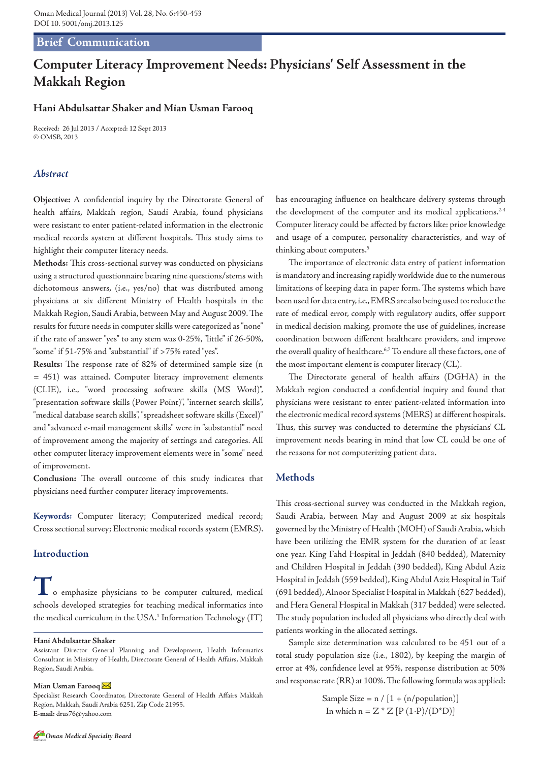# **Brief Communication**

# **Computer Literacy Improvement Needs: Physicians' Self Assessment in the Makkah Region**

### **Hani Abdulsattar Shaker and Mian Usman Farooq**

Received: 26 Jul 2013 / Accepted: 12 Sept 2013 © OMSB, 2013

### *Abstract*

**Objective:** A confidential inquiry by the Directorate General of health affairs, Makkah region, Saudi Arabia, found physicians were resistant to enter patient-related information in the electronic medical records system at different hospitals. This study aims to highlight their computer literacy needs.

**Methods:** This cross-sectional survey was conducted on physicians using a structured questionnaire bearing nine questions/stems with dichotomous answers, (i.e., yes/no) that was distributed among physicians at six different Ministry of Health hospitals in the Makkah Region, Saudi Arabia, between May and August 2009. The results for future needs in computer skills were categorized as "none" if the rate of answer "yes" to any stem was 0-25%, "little" if 26-50%, "some" if 51-75% and "substantial" if >75% rated "yes".

**Results:** The response rate of 82% of determined sample size (n = 451) was attained. Computer literacy improvement elements (CLIE), i.e., "word processing software skills (MS Word)", "presentation software skills (Power Point)", "internet search skills", "medical database search skills", "spreadsheet software skills (Excel)" and "advanced e-mail management skills" were in "substantial" need of improvement among the majority of settings and categories. All other computer literacy improvement elements were in "some" need of improvement.

**Conclusion:** The overall outcome of this study indicates that physicians need further computer literacy improvements.

**Keywords:** Computer literacy; Computerized medical record; Cross sectional survey; Electronic medical records system (EMRS).

## **Introduction**

**T**o emphasize physicians to be computer cultured, medical schools developed strategies for teaching medical informatics into the medical curriculum in the USA.<sup>1</sup> Information Technology  $(T)$ 

#### **Mian Usman Farooq**

Specialist Research Coordinator, Directorate General of Health Affairs Makkah Region, Makkah, Saudi Arabia 6251, Zip Code 21955. **E-mail:** drus76@yahoo.com

has encouraging influence on healthcare delivery systems through the development of the computer and its medical applications.<sup>2-4</sup> Computer literacy could be affected by factors like: prior knowledge and usage of a computer, personality characteristics, and way of thinking about computers.5

The importance of electronic data entry of patient information is mandatory and increasing rapidly worldwide due to the numerous limitations of keeping data in paper form. The systems which have been used for data entry, i.e., EMRS are also being used to: reduce the rate of medical error, comply with regulatory audits, offer support in medical decision making, promote the use of guidelines, increase coordination between different healthcare providers, and improve the overall quality of healthcare.<sup>6,7</sup> To endure all these factors, one of the most important element is computer literacy (CL).

The Directorate general of health affairs (DGHA) in the Makkah region conducted a confidential inquiry and found that physicians were resistant to enter patient-related information into the electronic medical record systems (MERS) at different hospitals. Thus, this survey was conducted to determine the physicians' CL improvement needs bearing in mind that low CL could be one of the reasons for not computerizing patient data.

### **Methods**

This cross-sectional survey was conducted in the Makkah region, Saudi Arabia, between May and August 2009 at six hospitals governed by the Ministry of Health (MOH) of Saudi Arabia, which have been utilizing the EMR system for the duration of at least one year. King Fahd Hospital in Jeddah (840 bedded), Maternity and Children Hospital in Jeddah (390 bedded), King Abdul Aziz Hospital in Jeddah (559 bedded), King Abdul Aziz Hospital in Taif (691 bedded), Alnoor Specialist Hospital in Makkah (627 bedded), and Hera General Hospital in Makkah (317 bedded) were selected. The study population included all physicians who directly deal with patients working in the allocated settings.

Sample size determination was calculated to be 451 out of a total study population size (i.e., 1802), by keeping the margin of error at 4%, confidence level at 95%, response distribution at 50% and response rate (RR) at 100%. The following formula was applied:

> Sample Size =  $n / [1 + (n/population)]$ In which  $n = Z * Z [P (1-P)/(D*D)]$



**Hani Abdulsattar Shaker**

Assistant Director General Planning and Development, Health Informatics Consultant in Ministry of Health, Directorate General of Health Affairs, Makkah Region, Saudi Arabia.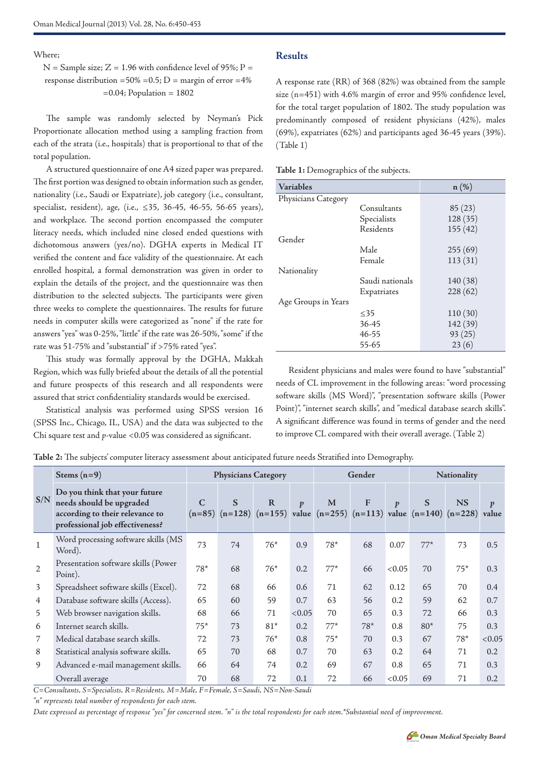Where;

 $N =$  Sample size;  $Z = 1.96$  with confidence level of 95%;  $P =$ response distribution =50% = 0.5; D = margin of error =4%  $=0.04$ ; Population  $= 1802$ 

The sample was randomly selected by Neyman's Pick Proportionate allocation method using a sampling fraction from each of the strata (i.e., hospitals) that is proportional to that of the total population.

A structured questionnaire of one A4 sized paper was prepared. The first portion was designed to obtain information such as gender, nationality (i.e., Saudi or Expatriate), job category (i.e., consultant, specialist, resident), age, (i.e., ≤35, 36-45, 46-55, 56-65 years), and workplace. The second portion encompassed the computer literacy needs, which included nine closed ended questions with dichotomous answers (yes/no). DGHA experts in Medical IT verified the content and face validity of the questionnaire. At each enrolled hospital, a formal demonstration was given in order to explain the details of the project, and the questionnaire was then distribution to the selected subjects. The participants were given three weeks to complete the questionnaires. The results for future needs in computer skills were categorized as "none" if the rate for answers "yes" was 0-25%, "little" if the rate was 26-50%, "some" if the rate was 51-75% and "substantial" if >75% rated "yes".

This study was formally approval by the DGHA, Makkah Region, which was fully briefed about the details of all the potential and future prospects of this research and all respondents were assured that strict confidentiality standards would be exercised.

Statistical analysis was performed using SPSS version 16 (SPSS Inc., Chicago, IL, USA) and the data was subjected to the Chi square test and *p*-value <0.05 was considered as significant.

# **Results**

A response rate (RR) of 368 (82%) was obtained from the sample size (n=451) with 4.6% margin of error and 95% confidence level, for the total target population of 1802. The study population was predominantly composed of resident physicians (42%), males (69%), expatriates (62%) and participants aged 36-45 years (39%). (Table 1)

**Table 1:** Demographics of the subjects.

| <b>Variables</b>    |                 | $n(\%)$  |
|---------------------|-----------------|----------|
| Physicians Category |                 |          |
|                     | Consultants     | 85(23)   |
|                     | Specialists     | 128 (35) |
|                     | Residents       | 155(42)  |
| Gender              |                 |          |
|                     | Male            | 255(69)  |
|                     | Female          | 113(31)  |
| Nationality         |                 |          |
|                     | Saudi nationals | 140(38)  |
|                     | Expatriates     | 228(62)  |
| Age Groups in Years |                 |          |
|                     | $\leq$ 35       | 110(30)  |
|                     | 36-45           | 142 (39) |
|                     | 46-55           | 93(25)   |
|                     | 55-65           | 23(6)    |

Resident physicians and males were found to have "substantial" needs of CL improvement in the following areas: "word processing software skills (MS Word)", "presentation software skills (Power Point)", "internet search skills", and "medical database search skills". A significant difference was found in terms of gender and the need to improve CL compared with their overall average. (Table 2)

**Table 2:** The subjects' computer literacy assessment about anticipated future needs Stratified into Demography.

| S/N            | Stems $(n=9)$                                                                                                                   | <b>Physicians Category</b> |    |                                                                                                 |                  | Gender |       |                  | Nationality |           |                           |
|----------------|---------------------------------------------------------------------------------------------------------------------------------|----------------------------|----|-------------------------------------------------------------------------------------------------|------------------|--------|-------|------------------|-------------|-----------|---------------------------|
|                | Do you think that your future<br>needs should be upgraded<br>according to their relevance to<br>professional job effectiveness? | $\mathcal{C}$              | S  | $\mathbf R$<br>$(n=85)$ $(n=128)$ $(n=155)$ value $(n=255)$ $(n=113)$ value $(n=140)$ $(n=228)$ | $\boldsymbol{p}$ | M      | F     | $\boldsymbol{p}$ | S           | <b>NS</b> | $\boldsymbol{p}$<br>value |
| $\mathbf{1}$   | Word processing software skills (MS<br>Word).                                                                                   | 73                         | 74 | $76*$                                                                                           | 0.9              | $78*$  | 68    | 0.07             | $77*$       | 73        | 0.5                       |
| 2              | Presentation software skills (Power<br>Point).                                                                                  | $78*$                      | 68 | $76*$                                                                                           | 0.2              | $77*$  | 66    | < 0.05           | 70          | $75*$     | 0.3                       |
| $\overline{3}$ | Spreadsheet software skills (Excel).                                                                                            | 72                         | 68 | 66                                                                                              | 0.6              | 71     | 62    | 0.12             | 65          | 70        | 0.4                       |
| $\overline{4}$ | Database software skills (Access).                                                                                              | 65                         | 60 | 59                                                                                              | 0.7              | 63     | 56    | 0.2              | 59          | 62        | 0.7                       |
| 5              | Web browser navigation skills.                                                                                                  | 68                         | 66 | 71                                                                                              | < 0.05           | 70     | 65    | 0.3              | 72          | 66        | 0.3                       |
| 6              | Internet search skills.                                                                                                         | $75*$                      | 73 | $81*$                                                                                           | 0.2              | $77*$  | $78*$ | 0.8              | $80*$       | 75        | 0.3                       |
| 7              | Medical database search skills.                                                                                                 | 72                         | 73 | $76*$                                                                                           | 0.8              | $75*$  | 70    | 0.3              | 67          | $78*$     | < 0.05                    |
| 8              | Statistical analysis software skills.                                                                                           | 65                         | 70 | 68                                                                                              | 0.7              | 70     | 63    | 0.2              | 64          | 71        | 0.2                       |
| 9              | Advanced e-mail management skills.                                                                                              | 66                         | 64 | 74                                                                                              | 0.2              | 69     | 67    | 0.8              | 65          | 71        | 0.3                       |
|                | Overall average                                                                                                                 | 70                         | 68 | 72                                                                                              | 0.1              | 72     | 66    | < 0.05           | 69          | 71        | 0.2                       |

*C=Consultants, S=Specialists, R=Residents, M=Male, F=Female, S=Saudi, NS=Non-Saudi*

*"n" represents total number of respondents for each stem.*

*Date expressed as percentage of response "yes" for concerned stem. "n" is the total respondents for each stem.\*Substantial need of improvement.*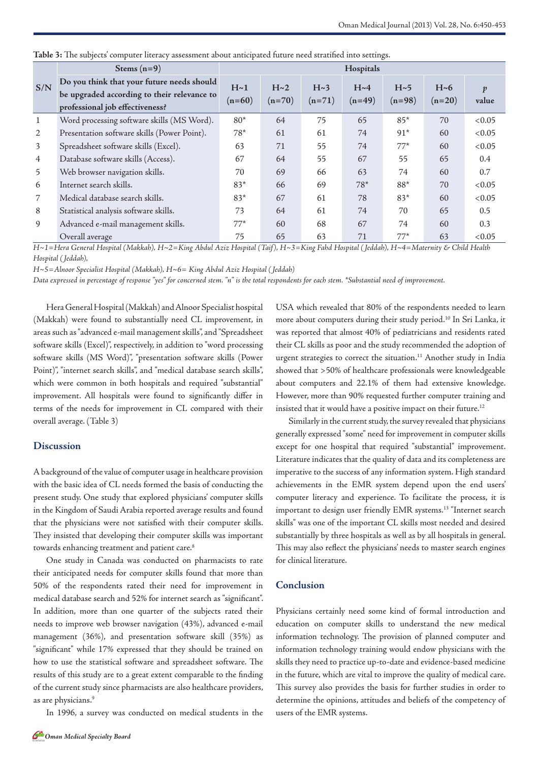|                | Stems $(n=9)$                                                                                                                | Hospitals       |                 |                 |                      |                 |                 |                           |  |
|----------------|------------------------------------------------------------------------------------------------------------------------------|-----------------|-----------------|-----------------|----------------------|-----------------|-----------------|---------------------------|--|
| S/N            | Do you think that your future needs should<br>be upgraded according to their relevance to<br>professional job effectiveness? | H~1<br>$(n=60)$ | H~2<br>$(n=70)$ | H~3<br>$(n=71)$ | $H~1$ ~4<br>$(n=49)$ | H~5<br>$(n=98)$ | H~6<br>$(n=20)$ | $\boldsymbol{p}$<br>value |  |
| 1              | Word processing software skills (MS Word).                                                                                   | $80*$           | 64              | 75              | 65                   | $85*$           | 70              | < 0.05                    |  |
| 2              | Presentation software skills (Power Point).                                                                                  | $78*$           | 61              | 61              | 74                   | $91*$           | 60              | < 0.05                    |  |
| 3              | Spreadsheet software skills (Excel).                                                                                         | 63              | 71              | 55              | 74                   | $77*$           | 60              | < 0.05                    |  |
| $\overline{4}$ | Database software skills (Access).                                                                                           | 67              | 64              | 55              | 67                   | 55              | 65              | 0.4                       |  |
| 5              | Web browser navigation skills.                                                                                               | 70              | 69              | 66              | 63                   | 74              | 60              | 0.7                       |  |
| 6              | Internet search skills.                                                                                                      | $83*$           | 66              | 69              | $78*$                | $88*$           | 70              | < 0.05                    |  |
| 7              | Medical database search skills.                                                                                              | $83*$           | 67              | 61              | 78                   | $83*$           | 60              | < 0.05                    |  |
| 8              | Statistical analysis software skills.                                                                                        | 73              | 64              | 61              | 74                   | 70              | 65              | 0.5                       |  |
| 9              | Advanced e-mail management skills.                                                                                           | $77*$           | 60              | 68              | 67                   | 74              | 60              | 0.3                       |  |
|                | Overall average                                                                                                              | 75              | 65              | 63              | 71                   | $77*$           | 63              | < 0.05                    |  |

**Table 3:** The subjects' computer literacy assessment about anticipated future need stratified into settings.

*H~1=Hera General Hospital (Makkah), H~2=King Abdul Aziz Hospital (Taif), H~3=King Fahd Hospital ( Jeddah), H~4=Maternity & Child Health Hospital ( Jeddah),*

*H~5=Alnoor Specialist Hospital (Makkah), H~6= King Abdul Aziz Hospital ( Jeddah)*

*Data expressed in percentage of response "yes" for concerned stem. "n" is the total respondents for each stem. \*Substantial need of improvement.*

Hera General Hospital (Makkah) and Alnoor Specialist hospital (Makkah) were found to substantially need CL improvement, in areas such as "advanced e-mail management skills", and "Spreadsheet software skills (Excel)", respectively, in addition to "word processing software skills (MS Word)", "presentation software skills (Power Point)", "internet search skills", and "medical database search skills", which were common in both hospitals and required "substantial" improvement. All hospitals were found to significantly differ in terms of the needs for improvement in CL compared with their overall average. (Table 3)

#### **Discussion**

A background of the value of computer usage in healthcare provision with the basic idea of CL needs formed the basis of conducting the present study. One study that explored physicians' computer skills in the Kingdom of Saudi Arabia reported average results and found that the physicians were not satisfied with their computer skills. They insisted that developing their computer skills was important towards enhancing treatment and patient care.<sup>8</sup>

One study in Canada was conducted on pharmacists to rate their anticipated needs for computer skills found that more than 50% of the respondents rated their need for improvement in medical database search and 52% for internet search as "significant". In addition, more than one quarter of the subjects rated their needs to improve web browser navigation (43%), advanced e-mail management (36%), and presentation software skill (35%) as "significant" while 17% expressed that they should be trained on how to use the statistical software and spreadsheet software. The results of this study are to a great extent comparable to the finding of the current study since pharmacists are also healthcare providers, as are physicians.<sup>9</sup>

In 1996, a survey was conducted on medical students in the

USA which revealed that 80% of the respondents needed to learn more about computers during their study period.<sup>10</sup> In Sri Lanka, it was reported that almost 40% of pediatricians and residents rated their CL skills as poor and the study recommended the adoption of urgent strategies to correct the situation.<sup>11</sup> Another study in India showed that >50% of healthcare professionals were knowledgeable about computers and 22.1% of them had extensive knowledge. However, more than 90% requested further computer training and insisted that it would have a positive impact on their future.<sup>12</sup>

Similarly in the current study, the survey revealed that physicians generally expressed "some" need for improvement in computer skills except for one hospital that required "substantial" improvement. Literature indicates that the quality of data and its completeness are imperative to the success of any information system. High standard achievements in the EMR system depend upon the end users' computer literacy and experience. To facilitate the process, it is important to design user friendly EMR systems.<sup>13</sup> "Internet search skills" was one of the important CL skills most needed and desired substantially by three hospitals as well as by all hospitals in general. This may also reflect the physicians' needs to master search engines for clinical literature.

#### **Conclusion**

Physicians certainly need some kind of formal introduction and education on computer skills to understand the new medical information technology. The provision of planned computer and information technology training would endow physicians with the skills they need to practice up-to-date and evidence-based medicine in the future, which are vital to improve the quality of medical care. This survey also provides the basis for further studies in order to determine the opinions, attitudes and beliefs of the competency of users of the EMR systems.